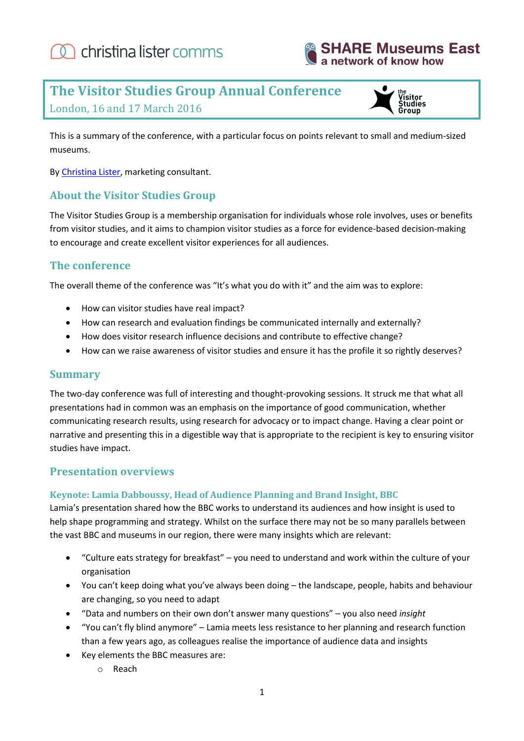



# **The Visitor Studies Group Annual Conference**





This is a summary of the conference, with a particular focus on points relevant to small and medium-sized museums.

By [Christina Lister,](http://www.christinalister.co.uk/) marketing consultant.

#### **About the Visitor Studies Group**

The Visitor Studies Group is a membership organisation for individuals whose role involves, uses or benefits from visitor studies, and it aims to champion visitor studies as a force for evidence-based decision-making to encourage and create excellent visitor experiences for all audiences.

#### **The conference**

The overall theme of the conference was "It's what you do with it" and the aim was to explore:

- How can visitor studies have real impact?
- How can research and evaluation findings be communicated internally and externally?
- How does visitor research influence decisions and contribute to effective change?
- How can we raise awareness of visitor studies and ensure it has the profile it so rightly deserves?

#### **Summary**

The two-day conference was full of interesting and thought-provoking sessions. It struck me that what all presentations had in common was an emphasis on the importance of good communication, whether communicating research results, using research for advocacy or to impact change. Having a clear point or narrative and presenting this in a digestible way that is appropriate to the recipient is key to ensuring visitor studies have impact.

#### **Presentation overviews**

#### **Keynote: Lamia Dabboussy, Head of Audience Planning and Brand Insight, BBC**

Lamia's presentation shared how the BBC works to understand its audiences and how insight is used to help shape programming and strategy. Whilst on the surface there may not be so many parallels between the vast BBC and museums in our region, there were many insights which are relevant:

- "Culture eats strategy for breakfast" you need to understand and work within the culture of your organisation
- You can't keep doing what you've always been doing the landscape, people, habits and behaviour are changing, so you need to adapt
- "Data and numbers on their own don't answer many questions" you also need *insight*
- "You can't fly blind anymore" Lamia meets less resistance to her planning and research function than a few years ago, as colleagues realise the importance of audience data and insights
- Key elements the BBC measures are:
	- o Reach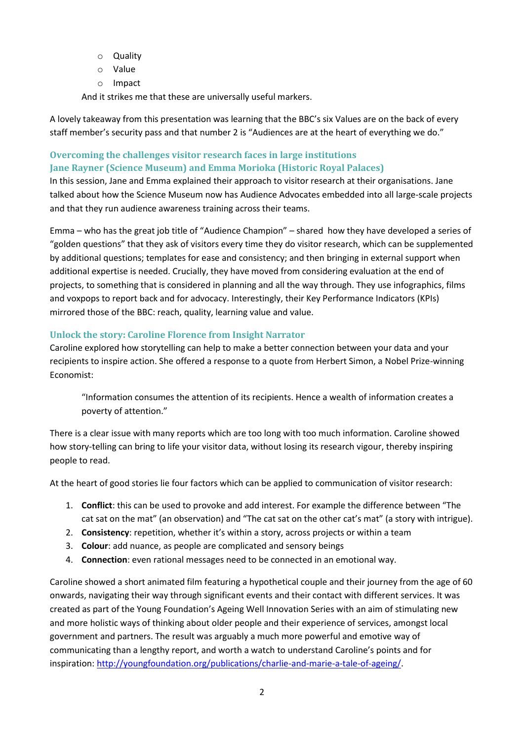- o Quality
- o Value
- o Impact

And it strikes me that these are universally useful markers.

A lovely takeaway from this presentation was learning that the BBC's six Values are on the back of every staff member's security pass and that number 2 is "Audiences are at the heart of everything we do."

#### **Overcoming the challenges visitor research faces in large institutions Jane Rayner (Science Museum) and Emma Morioka (Historic Royal Palaces)**

In this session, Jane and Emma explained their approach to visitor research at their organisations. Jane talked about how the Science Museum now has Audience Advocates embedded into all large-scale projects and that they run audience awareness training across their teams.

Emma – who has the great job title of "Audience Champion" – shared how they have developed a series of "golden questions" that they ask of visitors every time they do visitor research, which can be supplemented by additional questions; templates for ease and consistency; and then bringing in external support when additional expertise is needed. Crucially, they have moved from considering evaluation at the end of projects, to something that is considered in planning and all the way through. They use infographics, films and voxpops to report back and for advocacy. Interestingly, their Key Performance Indicators (KPIs) mirrored those of the BBC: reach, quality, learning value and value.

#### **Unlock the story: Caroline Florence from Insight Narrator**

Caroline explored how storytelling can help to make a better connection between your data and your recipients to inspire action. She offered a response to a quote from Herbert Simon, a Nobel Prize-winning Economist:

"Information consumes the attention of its recipients. Hence a wealth of information creates a poverty of attention."

There is a clear issue with many reports which are too long with too much information. Caroline showed how story-telling can bring to life your visitor data, without losing its research vigour, thereby inspiring people to read.

At the heart of good stories lie four factors which can be applied to communication of visitor research:

- 1. **Conflict**: this can be used to provoke and add interest. For example the difference between "The cat sat on the mat" (an observation) and "The cat sat on the other cat's mat" (a story with intrigue).
- 2. **Consistency**: repetition, whether it's within a story, across projects or within a team
- 3. **Colour**: add nuance, as people are complicated and sensory beings
- 4. **Connection**: even rational messages need to be connected in an emotional way.

Caroline showed a short animated film featuring a hypothetical couple and their journey from the age of 60 onwards, navigating their way through significant events and their contact with different services. It was created as part of the Young Foundation's Ageing Well Innovation Series with an aim of stimulating new and more holistic ways of thinking about older people and their experience of services, amongst local government and partners. The result was arguably a much more powerful and emotive way of communicating than a lengthy report, and worth a watch to understand Caroline's points and for inspiration: [http://youngfoundation.org/publications/charlie-and-marie-a-tale-of-ageing/.](http://youngfoundation.org/publications/charlie-and-marie-a-tale-of-ageing/)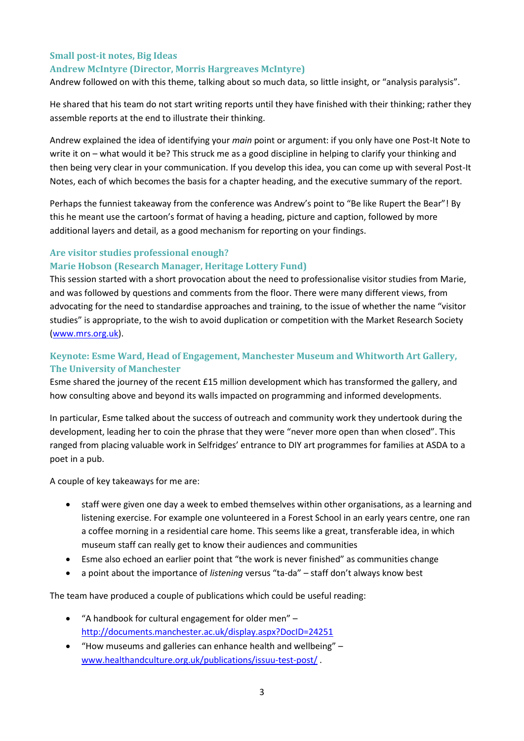#### **Small post‐it notes, Big Ideas Andrew McIntyre (Director, Morris Hargreaves McIntyre)**

Andrew followed on with this theme, talking about so much data, so little insight, or "analysis paralysis".

He shared that his team do not start writing reports until they have finished with their thinking; rather they assemble reports at the end to illustrate their thinking.

Andrew explained the idea of identifying your *main* point or argument: if you only have one Post-It Note to write it on – what would it be? This struck me as a good discipline in helping to clarify your thinking and then being very clear in your communication. If you develop this idea, you can come up with several Post-It Notes, each of which becomes the basis for a chapter heading, and the executive summary of the report.

Perhaps the funniest takeaway from the conference was Andrew's point to "Be like Rupert the Bear"! By this he meant use the cartoon's format of having a heading, picture and caption, followed by more additional layers and detail, as a good mechanism for reporting on your findings.

#### **Are visitor studies professional enough? Marie Hobson (Research Manager, Heritage Lottery Fund)**

This session started with a short provocation about the need to professionalise visitor studies from Marie, and was followed by questions and comments from the floor. There were many different views, from advocating for the need to standardise approaches and training, to the issue of whether the name "visitor studies" is appropriate, to the wish to avoid duplication or competition with the Market Research Society [\(www.mrs.org.uk\)](http://www.mrs.org.uk/).

#### **Keynote: Esme Ward, Head of Engagement, Manchester Museum and Whitworth Art Gallery, The University of Manchester**

Esme shared the journey of the recent £15 million development which has transformed the gallery, and how consulting above and beyond its walls impacted on programming and informed developments.

In particular, Esme talked about the success of outreach and community work they undertook during the development, leading her to coin the phrase that they were "never more open than when closed". This ranged from placing valuable work in Selfridges' entrance to DIY art programmes for families at ASDA to a poet in a pub.

A couple of key takeaways for me are:

- staff were given one day a week to embed themselves within other organisations, as a learning and listening exercise. For example one volunteered in a Forest School in an early years centre, one ran a coffee morning in a residential care home. This seems like a great, transferable idea, in which museum staff can really get to know their audiences and communities
- Esme also echoed an earlier point that "the work is never finished" as communities change
- a point about the importance of *listening* versus "ta-da" staff don't always know best

The team have produced a couple of publications which could be useful reading:

- "A handbook for cultural engagement for older men" <http://documents.manchester.ac.uk/display.aspx?DocID=24251>
- "How museums and galleries can enhance health and wellbeing" [www.healthandculture.org.uk/publications/issuu-test-post/](http://www.healthandculture.org.uk/publications/issuu-test-post/) .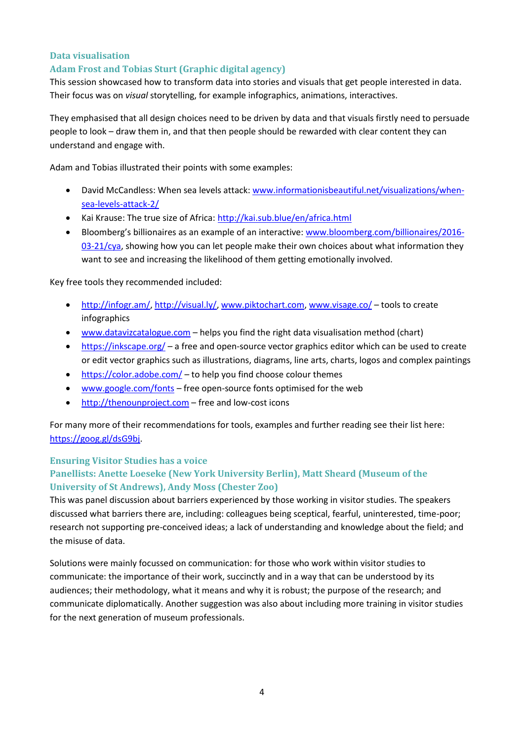#### **Data visualisation**

#### **Adam Frost and Tobias Sturt (Graphic digital agency)**

This session showcased how to transform data into stories and visuals that get people interested in data. Their focus was on *visual* storytelling, for example infographics, animations, interactives.

They emphasised that all design choices need to be driven by data and that visuals firstly need to persuade people to look – draw them in, and that then people should be rewarded with clear content they can understand and engage with.

Adam and Tobias illustrated their points with some examples:

- David McCandless: When sea levels attack: [www.informationisbeautiful.net/visualizations/when](http://www.informationisbeautiful.net/visualizations/when-sea-levels-attack-2/)[sea-levels-attack-2/](http://www.informationisbeautiful.net/visualizations/when-sea-levels-attack-2/)
- Kai Krause: The true size of Africa:<http://kai.sub.blue/en/africa.html>
- Bloomberg's billionaires as an example of an interactive: [www.bloomberg.com/billionaires/2016-](http://www.bloomberg.com/billionaires/2016-03-21/cya)  $03-21/cy$ a, showing how you can let people make their own choices about what information they want to see and increasing the likelihood of them getting emotionally involved.

Key free tools they recommended included:

- [http://infogr.am/,](http://infogr.am/) [http://visual.ly/,](http://visual.ly/) [www.piktochart.com, www.visage.co/](http://www.piktochart.com/) tools to create infographics
- [www.datavizcatalogue.com](http://www.datavizcatalogue.com/) helps you find the right data visualisation method (chart)
- <https://inkscape.org/> a free and open-source vector graphics editor which can be used to create or edit vector graphics such as illustrations, diagrams, line arts, charts, logos and complex paintings
- $\bullet$  <https://color.adobe.com/> to help you find choose colour themes
- [www.google.com/fonts](http://www.google.com/fonts) free open-source fonts optimised for the web
- $\bullet$  [http://thenounproject.com](http://thenounproject.com/) free and low-cost icons

For many more of their recommendations for tools, examples and further reading see their list here: [https://goog.gl/dsG9bj.](https://goog.gl/dsG9bj)

#### **Ensuring Visitor Studies has a voice**

#### **Panellists: Anette Loeseke (New York University Berlin), Matt Sheard (Museum of the University of St Andrews), Andy Moss (Chester Zoo)**

This was panel discussion about barriers experienced by those working in visitor studies. The speakers discussed what barriers there are, including: colleagues being sceptical, fearful, uninterested, time-poor; research not supporting pre-conceived ideas; a lack of understanding and knowledge about the field; and the misuse of data.

Solutions were mainly focussed on communication: for those who work within visitor studies to communicate: the importance of their work, succinctly and in a way that can be understood by its audiences; their methodology, what it means and why it is robust; the purpose of the research; and communicate diplomatically. Another suggestion was also about including more training in visitor studies for the next generation of museum professionals.